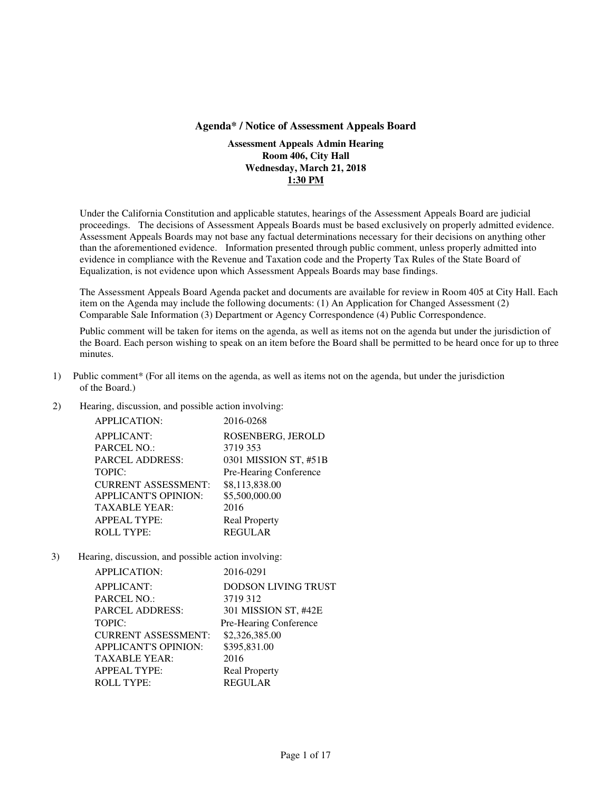#### **Agenda\* / Notice of Assessment Appeals Board**

**Assessment Appeals Admin Hearing Room 406, City Hall Wednesday, March 21, 2018 1:30 PM** 

Under the California Constitution and applicable statutes, hearings of the Assessment Appeals Board are judicial proceedings. The decisions of Assessment Appeals Boards must be based exclusively on properly admitted evidence. Assessment Appeals Boards may not base any factual determinations necessary for their decisions on anything other than the aforementioned evidence. Information presented through public comment, unless properly admitted into evidence in compliance with the Revenue and Taxation code and the Property Tax Rules of the State Board of Equalization, is not evidence upon which Assessment Appeals Boards may base findings.

The Assessment Appeals Board Agenda packet and documents are available for review in Room 405 at City Hall. Each item on the Agenda may include the following documents: (1) An Application for Changed Assessment (2) Comparable Sale Information (3) Department or Agency Correspondence (4) Public Correspondence.

Public comment will be taken for items on the agenda, as well as items not on the agenda but under the jurisdiction of the Board. Each person wishing to speak on an item before the Board shall be permitted to be heard once for up to three minutes.

- 1) Public comment\* (For all items on the agenda, as well as items not on the agenda, but under the jurisdiction of the Board.)
- 2) Hearing, discussion, and possible action involving:

| <b>APPLICATION:</b>         | 2016-0268              |
|-----------------------------|------------------------|
| <b>APPLICANT:</b>           | ROSENBERG, JEROLD      |
| PARCEL NO.:                 | 3719 353               |
| <b>PARCEL ADDRESS:</b>      | 0301 MISSION ST, #51B  |
| <b>TOPIC:</b>               | Pre-Hearing Conference |
| <b>CURRENT ASSESSMENT:</b>  | \$8,113,838.00         |
| <b>APPLICANT'S OPINION:</b> | \$5,500,000.00         |
| <b>TAXABLE YEAR:</b>        | 2016                   |
| <b>APPEAL TYPE:</b>         | <b>Real Property</b>   |
| <b>ROLL TYPE:</b>           | <b>REGULAR</b>         |
|                             |                        |

| <b>APPLICATION:</b>         | 2016-0291                  |
|-----------------------------|----------------------------|
| <b>APPLICANT:</b>           | <b>DODSON LIVING TRUST</b> |
| <b>PARCEL NO.:</b>          | 3719 312                   |
| <b>PARCEL ADDRESS:</b>      | 301 MISSION ST, #42E       |
| <b>TOPIC:</b>               | Pre-Hearing Conference     |
| <b>CURRENT ASSESSMENT:</b>  | \$2,326,385.00             |
| <b>APPLICANT'S OPINION:</b> | \$395,831.00               |
| <b>TAXABLE YEAR:</b>        | 2016                       |
| <b>APPEAL TYPE:</b>         | <b>Real Property</b>       |
| <b>ROLL TYPE:</b>           | <b>REGULAR</b>             |
|                             |                            |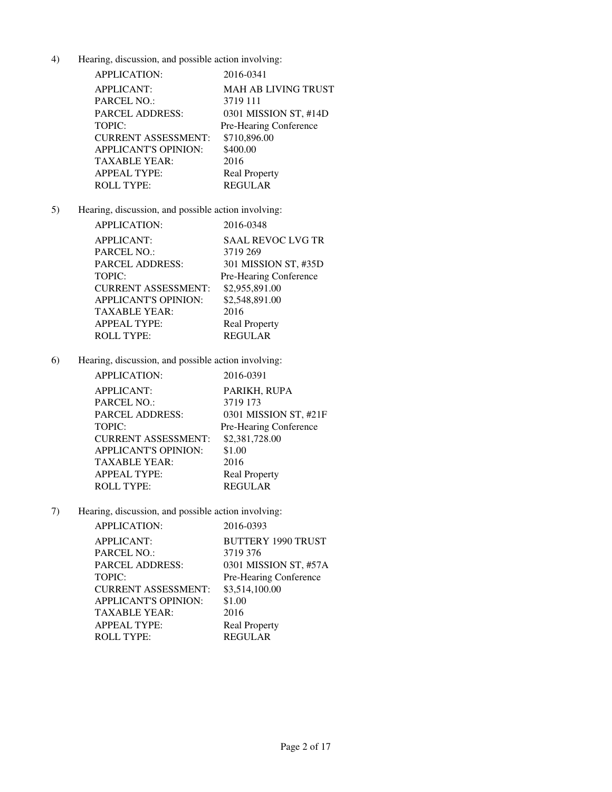| <b>APPLICATION:</b>         | 2016-0341              |
|-----------------------------|------------------------|
| <b>APPLICANT:</b>           | MAH AB LIVING TRUST    |
| <b>PARCEL NO.:</b>          | 3719 111               |
| <b>PARCEL ADDRESS:</b>      | 0301 MISSION ST, #14D  |
| TOPIC:                      | Pre-Hearing Conference |
| <b>CURRENT ASSESSMENT:</b>  | \$710,896.00           |
| <b>APPLICANT'S OPINION:</b> | \$400.00               |
| <b>TAXABLE YEAR:</b>        | 2016                   |
| <b>APPEAL TYPE:</b>         | <b>Real Property</b>   |
| <b>ROLL TYPE:</b>           | <b>REGULAR</b>         |

# 5) Hearing, discussion, and possible action involving:

| <b>APPLICATION:</b>         | 2016-0348                |
|-----------------------------|--------------------------|
| <b>APPLICANT:</b>           | <b>SAAL REVOC LVG TR</b> |
| PARCEL NO.:                 | 3719 269                 |
| PARCEL ADDRESS:             | 301 MISSION ST, #35D     |
| TOPIC:                      | Pre-Hearing Conference   |
| <b>CURRENT ASSESSMENT:</b>  | \$2,955,891.00           |
| <b>APPLICANT'S OPINION:</b> | \$2,548,891.00           |
| TAXABLE YEAR:               | 2016                     |
| APPEAL TYPE:                | <b>Real Property</b>     |
| <b>ROLL TYPE:</b>           | <b>REGULAR</b>           |

6) Hearing, discussion, and possible action involving:

| <b>APPLICATION:</b>         | 2016-0391              |
|-----------------------------|------------------------|
| <b>APPLICANT:</b>           | PARIKH, RUPA           |
| <b>PARCEL NO.:</b>          | 3719 173               |
| <b>PARCEL ADDRESS:</b>      | 0301 MISSION ST, #21F  |
| <b>TOPIC:</b>               | Pre-Hearing Conference |
| <b>CURRENT ASSESSMENT:</b>  | \$2,381,728.00         |
| <b>APPLICANT'S OPINION:</b> | \$1.00                 |
| TAXABLE YEAR:               | 2016                   |
| <b>APPEAL TYPE:</b>         | <b>Real Property</b>   |
| <b>ROLL TYPE:</b>           | <b>REGULAR</b>         |
|                             |                        |

| APPLICATION:                | 2016-0393                 |
|-----------------------------|---------------------------|
| <b>APPLICANT:</b>           | <b>BUTTERY 1990 TRUST</b> |
| PARCEL NO.:                 | 3719 376                  |
| <b>PARCEL ADDRESS:</b>      | 0301 MISSION ST, #57A     |
| TOPIC:                      | Pre-Hearing Conference    |
| <b>CURRENT ASSESSMENT:</b>  | \$3,514,100.00            |
| <b>APPLICANT'S OPINION:</b> | \$1.00                    |
| <b>TAXABLE YEAR:</b>        | 2016                      |
| <b>APPEAL TYPE:</b>         | <b>Real Property</b>      |
| <b>ROLL TYPE:</b>           | <b>REGULAR</b>            |
|                             |                           |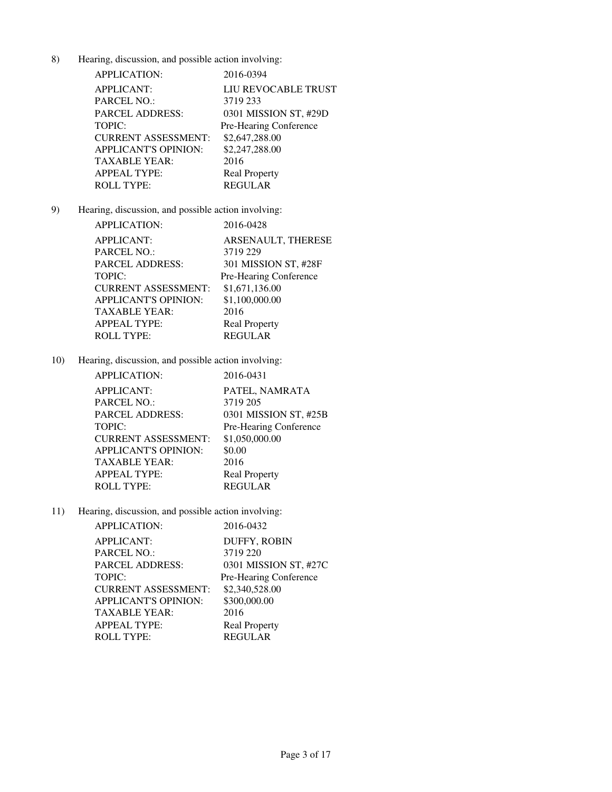| <b>APPLICATION:</b>         | 2016-0394              |
|-----------------------------|------------------------|
| <b>APPLICANT:</b>           | LIU REVOCABLE TRUST    |
| <b>PARCEL NO.:</b>          | 3719 233               |
| <b>PARCEL ADDRESS:</b>      | 0301 MISSION ST, #29D  |
| <b>TOPIC:</b>               | Pre-Hearing Conference |
| <b>CURRENT ASSESSMENT:</b>  | \$2,647,288.00         |
| <b>APPLICANT'S OPINION:</b> | \$2,247,288.00         |
| TAXABLE YEAR:               | 2016                   |
| <b>APPEAL TYPE:</b>         | <b>Real Property</b>   |
| <b>ROLL TYPE:</b>           | <b>REGULAR</b>         |

# 9) Hearing, discussion, and possible action involving:

| APPLICATION:                | 2016-0428              |
|-----------------------------|------------------------|
| <b>APPLICANT:</b>           | ARSENAULT, THERESE     |
| PARCEL NO.:                 | 3719 229               |
| PARCEL ADDRESS:             | 301 MISSION ST, #28F   |
| TOPIC:                      | Pre-Hearing Conference |
| <b>CURRENT ASSESSMENT:</b>  | \$1,671,136.00         |
| <b>APPLICANT'S OPINION:</b> | \$1,100,000.00         |
| TAXABLE YEAR:               | 2016                   |
| APPEAL TYPE:                | <b>Real Property</b>   |
| ROLL TYPE:                  | <b>REGULAR</b>         |

10) Hearing, discussion, and possible action involving:

| <b>APPLICATION:</b>         | 2016-0431              |
|-----------------------------|------------------------|
| <b>APPLICANT:</b>           | PATEL, NAMRATA         |
| <b>PARCEL NO.:</b>          | 3719 205               |
| <b>PARCEL ADDRESS:</b>      | 0301 MISSION ST, #25B  |
| <b>TOPIC:</b>               | Pre-Hearing Conference |
| <b>CURRENT ASSESSMENT:</b>  | \$1,050,000.00         |
| <b>APPLICANT'S OPINION:</b> | \$0.00                 |
| <b>TAXABLE YEAR:</b>        | 2016                   |
| <b>APPEAL TYPE:</b>         | <b>Real Property</b>   |
| <b>ROLL TYPE:</b>           | <b>REGULAR</b>         |
|                             |                        |

| APPLICATION:                | 2016-0432              |
|-----------------------------|------------------------|
| <b>APPLICANT:</b>           | DUFFY, ROBIN           |
| PARCEL NO.:                 | 3719 220               |
| <b>PARCEL ADDRESS:</b>      | 0301 MISSION ST, #27C  |
| TOPIC:                      | Pre-Hearing Conference |
| <b>CURRENT ASSESSMENT:</b>  | \$2,340,528.00         |
| <b>APPLICANT'S OPINION:</b> | \$300,000.00           |
| <b>TAXABLE YEAR:</b>        | 2016                   |
| <b>APPEAL TYPE:</b>         | <b>Real Property</b>   |
| <b>ROLL TYPE:</b>           | <b>REGULAR</b>         |
|                             |                        |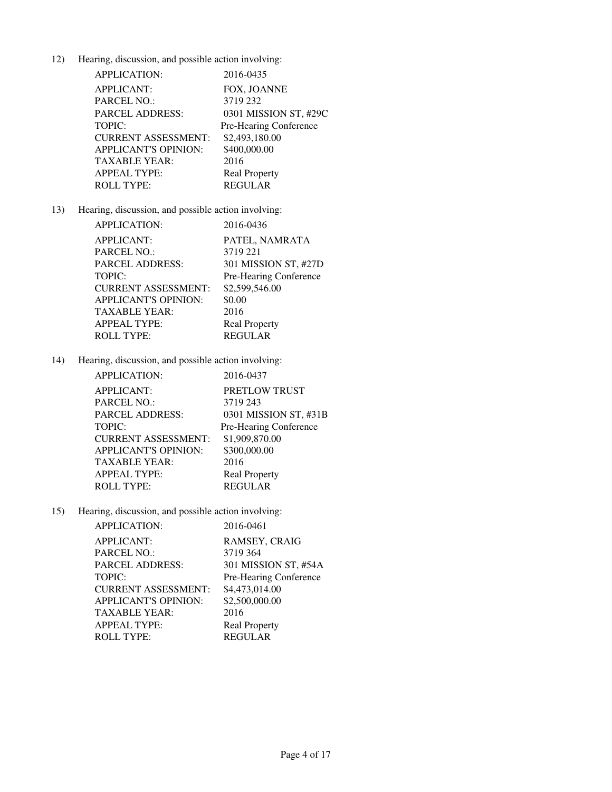| <b>APPLICATION:</b>         | 2016-0435              |
|-----------------------------|------------------------|
| <b>APPLICANT:</b>           | FOX, JOANNE            |
| <b>PARCEL NO.:</b>          | 3719 232               |
| <b>PARCEL ADDRESS:</b>      | 0301 MISSION ST, #29C  |
| TOPIC:                      | Pre-Hearing Conference |
| <b>CURRENT ASSESSMENT:</b>  | \$2,493,180.00         |
| <b>APPLICANT'S OPINION:</b> | \$400,000.00           |
| TAXABLE YEAR:               | 2016                   |
| <b>APPEAL TYPE:</b>         | <b>Real Property</b>   |
| <b>ROLL TYPE:</b>           | <b>REGULAR</b>         |

# 13) Hearing, discussion, and possible action involving:

| <b>APPLICATION:</b>        | 2016-0436              |
|----------------------------|------------------------|
| APPLICANT:                 | PATEL, NAMRATA         |
| PARCEL NO.:                | 3719 221               |
| PARCEL ADDRESS:            | 301 MISSION ST, #27D   |
| TOPIC:                     | Pre-Hearing Conference |
| <b>CURRENT ASSESSMENT:</b> | \$2,599,546.00         |
| APPLICANT'S OPINION:       | \$0.00                 |
| TAXABLE YEAR:              | 2016                   |
| APPEAL TYPE:               | <b>Real Property</b>   |
| ROLL TYPE:                 | <b>REGULAR</b>         |

14) Hearing, discussion, and possible action involving:

| <b>APPLICATION:</b>        | 2016-0437              |
|----------------------------|------------------------|
| <b>APPLICANT:</b>          | PRETLOW TRUST          |
| <b>PARCEL NO.:</b>         | 3719 243               |
| <b>PARCEL ADDRESS:</b>     | 0301 MISSION ST, #31B  |
| <b>TOPIC:</b>              | Pre-Hearing Conference |
| <b>CURRENT ASSESSMENT:</b> | \$1,909,870.00         |
| APPLICANT'S OPINION:       | \$300,000.00           |
| TAXABLE YEAR:              | 2016                   |
| APPEAL TYPE:               | <b>Real Property</b>   |
| ROLL TYPE:                 | <b>REGULAR</b>         |

| <b>APPLICATION:</b>        | 2016-0461              |
|----------------------------|------------------------|
| <b>APPLICANT:</b>          | RAMSEY, CRAIG          |
| PARCEL NO.:                | 3719 364               |
| <b>PARCEL ADDRESS:</b>     | 301 MISSION ST, #54A   |
| TOPIC:                     | Pre-Hearing Conference |
| <b>CURRENT ASSESSMENT:</b> | \$4,473,014.00         |
| APPLICANT'S OPINION:       | \$2,500,000.00         |
| <b>TAXABLE YEAR:</b>       | 2016                   |
| <b>APPEAL TYPE:</b>        | <b>Real Property</b>   |
| <b>ROLL TYPE:</b>          | <b>REGULAR</b>         |
|                            |                        |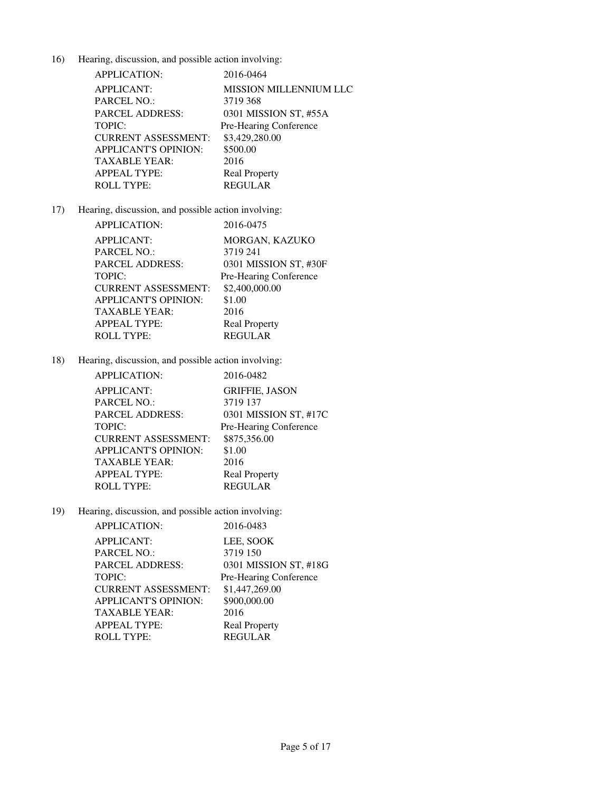| <b>APPLICATION:</b>         | 2016-0464                     |
|-----------------------------|-------------------------------|
| <b>APPLICANT:</b>           | <b>MISSION MILLENNIUM LLC</b> |
| <b>PARCEL NO.:</b>          | 3719 368                      |
| PARCEL ADDRESS:             | 0301 MISSION ST, #55A         |
| <b>TOPIC:</b>               | Pre-Hearing Conference        |
| <b>CURRENT ASSESSMENT:</b>  | \$3,429,280.00                |
| <b>APPLICANT'S OPINION:</b> | \$500.00                      |
| TAXABLE YEAR:               | 2016                          |
| <b>APPEAL TYPE:</b>         | <b>Real Property</b>          |
| <b>ROLL TYPE:</b>           | <b>REGULAR</b>                |

# 17) Hearing, discussion, and possible action involving:

| <b>APPLICATION:</b>        | 2016-0475              |
|----------------------------|------------------------|
| APPLICANT:                 | MORGAN, KAZUKO         |
| PARCEL NO.:                | 3719 241               |
| PARCEL ADDRESS:            | 0301 MISSION ST, #30F  |
| TOPIC:                     | Pre-Hearing Conference |
| <b>CURRENT ASSESSMENT:</b> | \$2,400,000.00         |
| APPLICANT'S OPINION:       | \$1.00                 |
| TAXABLE YEAR:              | 2016                   |
| APPEAL TYPE:               | <b>Real Property</b>   |
| ROLL TYPE:                 | <b>REGULAR</b>         |

18) Hearing, discussion, and possible action involving:

| <b>APPLICATION:</b>        | 2016-0482              |
|----------------------------|------------------------|
| <b>APPLICANT:</b>          | <b>GRIFFIE, JASON</b>  |
| <b>PARCEL NO.:</b>         | 3719 137               |
| <b>PARCEL ADDRESS:</b>     | 0301 MISSION ST, #17C  |
| <b>TOPIC:</b>              | Pre-Hearing Conference |
| <b>CURRENT ASSESSMENT:</b> | \$875,356.00           |
| APPLICANT'S OPINION:       | \$1.00                 |
| TAXABLE YEAR:              | 2016                   |
| <b>APPEAL TYPE:</b>        | <b>Real Property</b>   |
| <b>ROLL TYPE:</b>          | <b>REGULAR</b>         |

| APPLICATION:                | 2016-0483              |
|-----------------------------|------------------------|
| <b>APPLICANT:</b>           | LEE, SOOK              |
| PARCEL NO.:                 | 3719 150               |
| <b>PARCEL ADDRESS:</b>      | 0301 MISSION ST, #18G  |
| <b>TOPIC:</b>               | Pre-Hearing Conference |
| <b>CURRENT ASSESSMENT:</b>  | \$1,447,269.00         |
| <b>APPLICANT'S OPINION:</b> | \$900,000.00           |
| <b>TAXABLE YEAR:</b>        | 2016                   |
| <b>APPEAL TYPE:</b>         | <b>Real Property</b>   |
| <b>ROLL TYPE:</b>           | <b>REGULAR</b>         |
|                             |                        |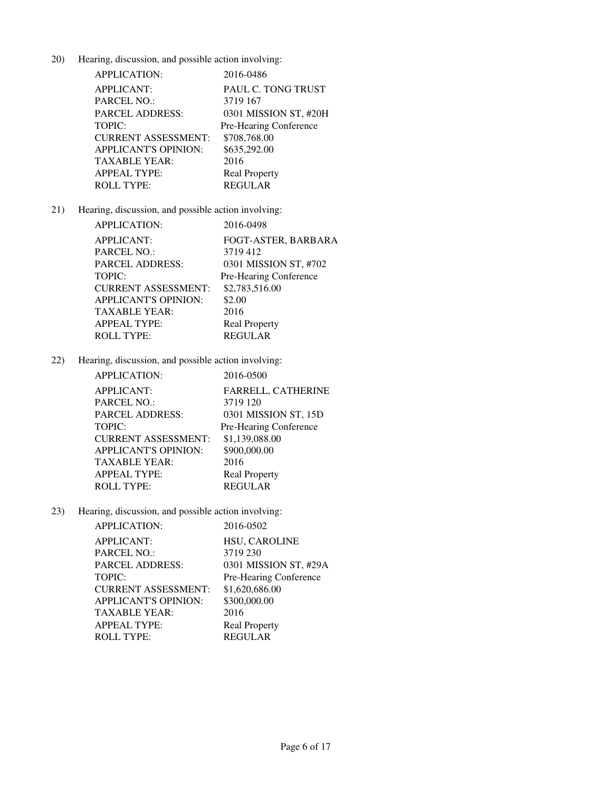| APPLICATION:                | 2016-0486              |
|-----------------------------|------------------------|
| <b>APPLICANT:</b>           | PAUL C. TONG TRUST     |
| <b>PARCEL NO.:</b>          | 3719 167               |
| <b>PARCEL ADDRESS:</b>      | 0301 MISSION ST, #20H  |
| TOPIC:                      | Pre-Hearing Conference |
| <b>CURRENT ASSESSMENT:</b>  | \$708,768.00           |
| <b>APPLICANT'S OPINION:</b> | \$635,292.00           |
| <b>TAXABLE YEAR:</b>        | 2016                   |
| <b>APPEAL TYPE:</b>         | <b>Real Property</b>   |
| <b>ROLL TYPE:</b>           | <b>REGULAR</b>         |

# 21) Hearing, discussion, and possible action involving:

| <b>APPLICATION:</b>        | 2016-0498              |
|----------------------------|------------------------|
| <b>APPLICANT:</b>          | FOGT-ASTER, BARBARA    |
| PARCEL NO.:                | 3719412                |
| PARCEL ADDRESS:            | 0301 MISSION ST, #702  |
| TOPIC:                     | Pre-Hearing Conference |
| <b>CURRENT ASSESSMENT:</b> | \$2,783,516.00         |
| APPLICANT'S OPINION:       | \$2.00                 |
| TAXABLE YEAR:              | 2016                   |
| APPEAL TYPE:               | <b>Real Property</b>   |
| <b>ROLL TYPE:</b>          | <b>REGULAR</b>         |

22) Hearing, discussion, and possible action involving:

| <b>APPLICATION:</b>         | 2016-0500              |
|-----------------------------|------------------------|
| <b>APPLICANT:</b>           | FARRELL, CATHERINE     |
| <b>PARCEL NO.:</b>          | 3719 120               |
| <b>PARCEL ADDRESS:</b>      | 0301 MISSION ST, 15D   |
| <b>TOPIC:</b>               | Pre-Hearing Conference |
| <b>CURRENT ASSESSMENT:</b>  | \$1,139,088.00         |
| <b>APPLICANT'S OPINION:</b> | \$900,000.00           |
| TAXABLE YEAR:               | 2016                   |
| <b>APPEAL TYPE:</b>         | <b>Real Property</b>   |
| <b>ROLL TYPE:</b>           | <b>REGULAR</b>         |

| APPLICATION:                | 2016-0502              |
|-----------------------------|------------------------|
| <b>APPLICANT:</b>           | <b>HSU, CAROLINE</b>   |
| PARCEL NO.:                 | 3719 230               |
| <b>PARCEL ADDRESS:</b>      | 0301 MISSION ST, #29A  |
| TOPIC:                      | Pre-Hearing Conference |
| <b>CURRENT ASSESSMENT:</b>  | \$1,620,686.00         |
| <b>APPLICANT'S OPINION:</b> | \$300,000.00           |
| <b>TAXABLE YEAR:</b>        | 2016                   |
| <b>APPEAL TYPE:</b>         | <b>Real Property</b>   |
| <b>ROLL TYPE:</b>           | <b>REGULAR</b>         |
|                             |                        |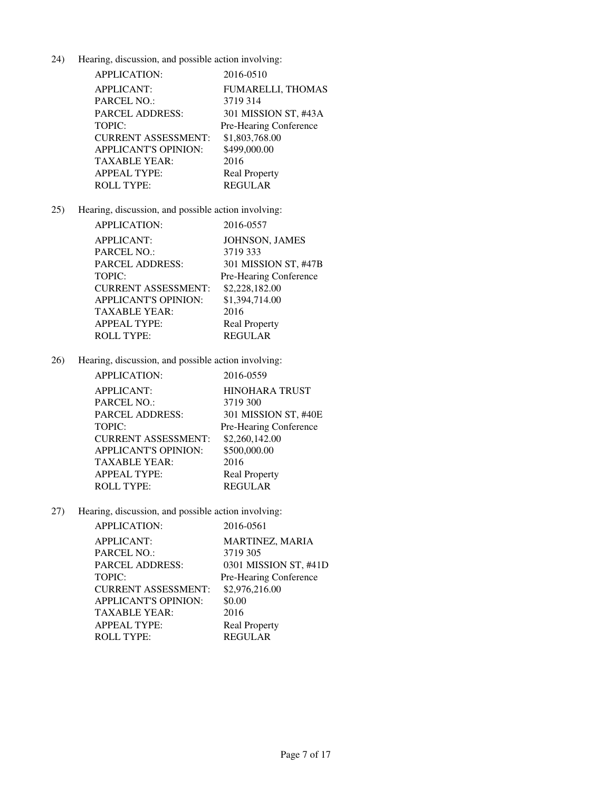| <b>APPLICATION:</b>         | 2016-0510                |
|-----------------------------|--------------------------|
| <b>APPLICANT:</b>           | <b>FUMARELLI, THOMAS</b> |
| <b>PARCEL NO.:</b>          | 3719314                  |
| <b>PARCEL ADDRESS:</b>      | 301 MISSION ST, #43A     |
| <b>TOPIC:</b>               | Pre-Hearing Conference   |
| <b>CURRENT ASSESSMENT:</b>  | \$1,803,768.00           |
| <b>APPLICANT'S OPINION:</b> | \$499,000.00             |
| <b>TAXABLE YEAR:</b>        | 2016                     |
| <b>APPEAL TYPE:</b>         | <b>Real Property</b>     |
| <b>ROLL TYPE:</b>           | <b>REGULAR</b>           |

# 25) Hearing, discussion, and possible action involving:

| <b>APPLICATION:</b>        | 2016-0557              |
|----------------------------|------------------------|
| <b>APPLICANT:</b>          | JOHNSON, JAMES         |
| PARCEL NO.:                | 3719 333               |
| PARCEL ADDRESS:            | 301 MISSION ST, #47B   |
| TOPIC:                     | Pre-Hearing Conference |
| <b>CURRENT ASSESSMENT:</b> | \$2,228,182.00         |
| APPLICANT'S OPINION:       | \$1,394,714.00         |
| TAXABLE YEAR:              | 2016                   |
| APPEAL TYPE:               | <b>Real Property</b>   |
| ROLL TYPE:                 | <b>REGULAR</b>         |

26) Hearing, discussion, and possible action involving:

| APPLICATION:                | 2016-0559              |
|-----------------------------|------------------------|
| <b>APPLICANT:</b>           | <b>HINOHARA TRUST</b>  |
| PARCEL NO.:                 | 3719 300               |
| PARCEL ADDRESS:             | 301 MISSION ST, #40E   |
| TOPIC:                      | Pre-Hearing Conference |
| <b>CURRENT ASSESSMENT:</b>  | \$2,260,142.00         |
| <b>APPLICANT'S OPINION:</b> | \$500,000.00           |
| TAXABLE YEAR:               | 2016                   |
| APPEAL TYPE:                | <b>Real Property</b>   |
| ROLL TYPE:                  | <b>REGULAR</b>         |

| APPLICATION:               | 2016-0561              |
|----------------------------|------------------------|
| <b>APPLICANT:</b>          | MARTINEZ, MARIA        |
| PARCEL NO.:                | 3719 305               |
| <b>PARCEL ADDRESS:</b>     | 0301 MISSION ST, #41D  |
| TOPIC:                     | Pre-Hearing Conference |
| <b>CURRENT ASSESSMENT:</b> | \$2,976,216.00         |
| APPLICANT'S OPINION:       | \$0.00                 |
| <b>TAXABLE YEAR:</b>       | 2016                   |
| <b>APPEAL TYPE:</b>        | <b>Real Property</b>   |
| <b>ROLL TYPE:</b>          | <b>REGULAR</b>         |
|                            |                        |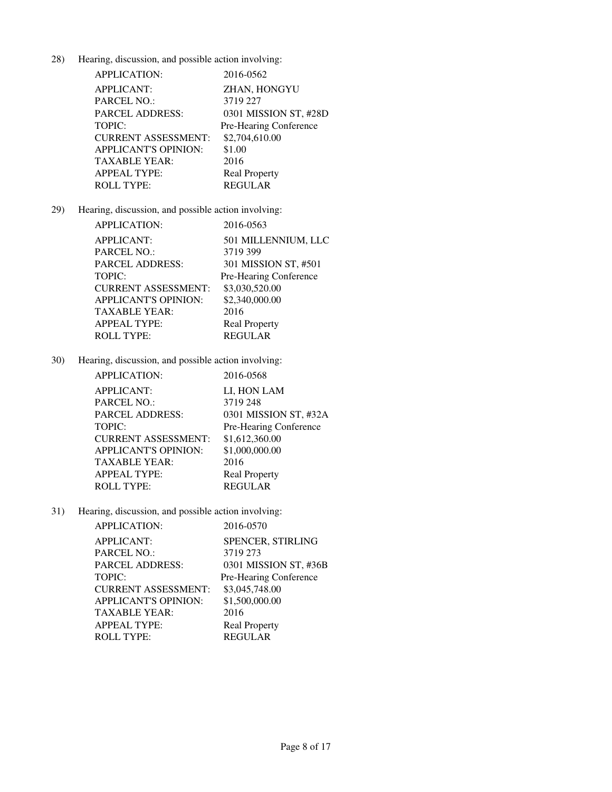| APPLICATION:               | 2016-0562              |
|----------------------------|------------------------|
| <b>APPLICANT:</b>          | ZHAN, HONGYU           |
| PARCEL NO.:                | 3719 227               |
| PARCEL ADDRESS:            | 0301 MISSION ST, #28D  |
| <b>TOPIC:</b>              | Pre-Hearing Conference |
| <b>CURRENT ASSESSMENT:</b> | \$2,704,610.00         |
| APPLICANT'S OPINION:       | \$1.00                 |
| TAXABLE YEAR:              | 2016                   |
| APPEAL TYPE:               | <b>Real Property</b>   |
| <b>ROLL TYPE:</b>          | <b>REGULAR</b>         |

# 29) Hearing, discussion, and possible action involving:

| APPLICATION:                |                        |
|-----------------------------|------------------------|
|                             | 2016-0563              |
| <b>APPLICANT:</b>           | 501 MILLENNIUM, LLC    |
| PARCEL NO.:                 | 3719 399               |
| PARCEL ADDRESS:             | 301 MISSION ST, #501   |
| TOPIC:                      | Pre-Hearing Conference |
| <b>CURRENT ASSESSMENT:</b>  | \$3,030,520.00         |
| <b>APPLICANT'S OPINION:</b> | \$2,340,000.00         |
| TAXABLE YEAR:               | 2016                   |
| APPEAL TYPE:                | <b>Real Property</b>   |
| ROLL TYPE:                  | <b>REGULAR</b>         |

30) Hearing, discussion, and possible action involving:

| <b>APPLICATION:</b>        | 2016-0568              |
|----------------------------|------------------------|
| <b>APPLICANT:</b>          | LI, HON LAM            |
| PARCEL NO.:                | 3719 248               |
| PARCEL ADDRESS:            | 0301 MISSION ST, #32A  |
| TOPIC:                     | Pre-Hearing Conference |
| <b>CURRENT ASSESSMENT:</b> | \$1,612,360.00         |
| APPLICANT'S OPINION:       | \$1,000,000.00         |
| TAXABLE YEAR:              | 2016                   |
| <b>APPEAL TYPE:</b>        | <b>Real Property</b>   |
| <b>ROLL TYPE:</b>          | <b>REGULAR</b>         |

| APPLICATION:                | 2016-0570              |
|-----------------------------|------------------------|
| <b>APPLICANT:</b>           | SPENCER, STIRLING      |
| PARCEL NO.:                 | 3719 273               |
| <b>PARCEL ADDRESS:</b>      | 0301 MISSION ST, #36B  |
| TOPIC:                      | Pre-Hearing Conference |
| <b>CURRENT ASSESSMENT:</b>  | \$3,045,748.00         |
| <b>APPLICANT'S OPINION:</b> | \$1,500,000.00         |
| <b>TAXABLE YEAR:</b>        | 2016                   |
| <b>APPEAL TYPE:</b>         | <b>Real Property</b>   |
| <b>ROLL TYPE:</b>           | <b>REGULAR</b>         |
|                             |                        |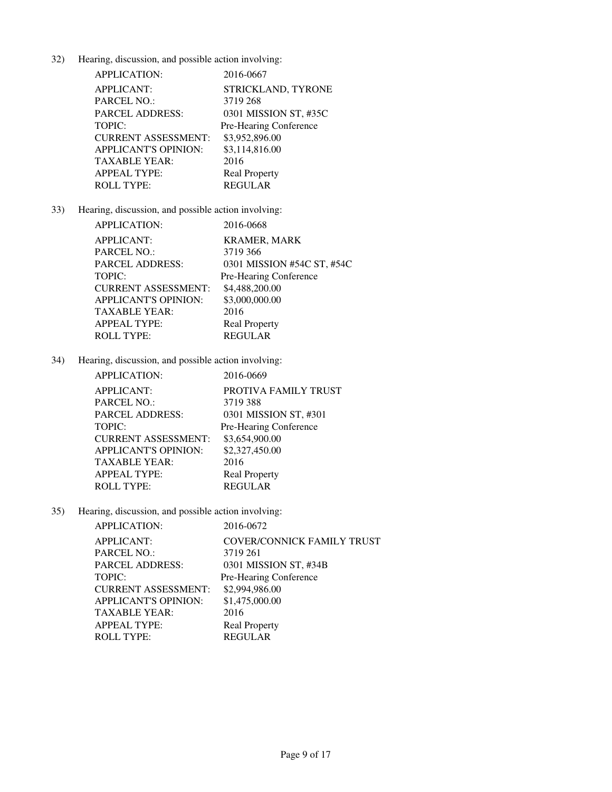| <b>APPLICATION:</b>        | 2016-0667              |
|----------------------------|------------------------|
| <b>APPLICANT:</b>          | STRICKLAND, TYRONE     |
| PARCEL NO.:                | 3719 268               |
| <b>PARCEL ADDRESS:</b>     | 0301 MISSION ST, #35C  |
| TOPIC:                     | Pre-Hearing Conference |
| <b>CURRENT ASSESSMENT:</b> | \$3,952,896.00         |
| APPLICANT'S OPINION:       | \$3,114,816.00         |
| TAXABLE YEAR:              | 2016                   |
| <b>APPEAL TYPE:</b>        | <b>Real Property</b>   |
| <b>ROLL TYPE:</b>          | <b>REGULAR</b>         |

# 33) Hearing, discussion, and possible action involving:

| <b>APPLICATION:</b>        | 2016-0668                  |
|----------------------------|----------------------------|
| <b>APPLICANT:</b>          | <b>KRAMER, MARK</b>        |
| PARCEL NO.:                | 3719 366                   |
| PARCEL ADDRESS:            | 0301 MISSION #54C ST, #54C |
| TOPIC:                     | Pre-Hearing Conference     |
| <b>CURRENT ASSESSMENT:</b> | \$4,488,200.00             |
| APPLICANT'S OPINION:       | \$3,000,000.00             |
| TAXABLE YEAR:              | 2016                       |
| <b>APPEAL TYPE:</b>        | <b>Real Property</b>       |
| <b>ROLL TYPE:</b>          | <b>REGULAR</b>             |

34) Hearing, discussion, and possible action involving:

| <b>APPLICATION:</b>         | 2016-0669              |
|-----------------------------|------------------------|
| <b>APPLICANT:</b>           | PROTIVA FAMILY TRUST   |
| PARCEL NO.:                 | 3719388                |
| <b>PARCEL ADDRESS:</b>      | 0301 MISSION ST, #301  |
| <b>TOPIC:</b>               | Pre-Hearing Conference |
| <b>CURRENT ASSESSMENT:</b>  | \$3,654,900.00         |
| <b>APPLICANT'S OPINION:</b> | \$2,327,450.00         |
| TAXABLE YEAR:               | 2016                   |
| APPEAL TYPE:                | <b>Real Property</b>   |
| <b>ROLL TYPE:</b>           | <b>REGULAR</b>         |

| <b>APPLICATION:</b>         | 2016-0672                         |
|-----------------------------|-----------------------------------|
| <b>APPLICANT:</b>           | <b>COVER/CONNICK FAMILY TRUST</b> |
| PARCEL NO.:                 | 3719 261                          |
| <b>PARCEL ADDRESS:</b>      | 0301 MISSION ST, #34B             |
| TOPIC:                      | Pre-Hearing Conference            |
| <b>CURRENT ASSESSMENT:</b>  | \$2,994,986.00                    |
| <b>APPLICANT'S OPINION:</b> | \$1,475,000.00                    |
| <b>TAXABLE YEAR:</b>        | 2016                              |
| <b>APPEAL TYPE:</b>         | <b>Real Property</b>              |
| <b>ROLL TYPE:</b>           | <b>REGULAR</b>                    |
|                             |                                   |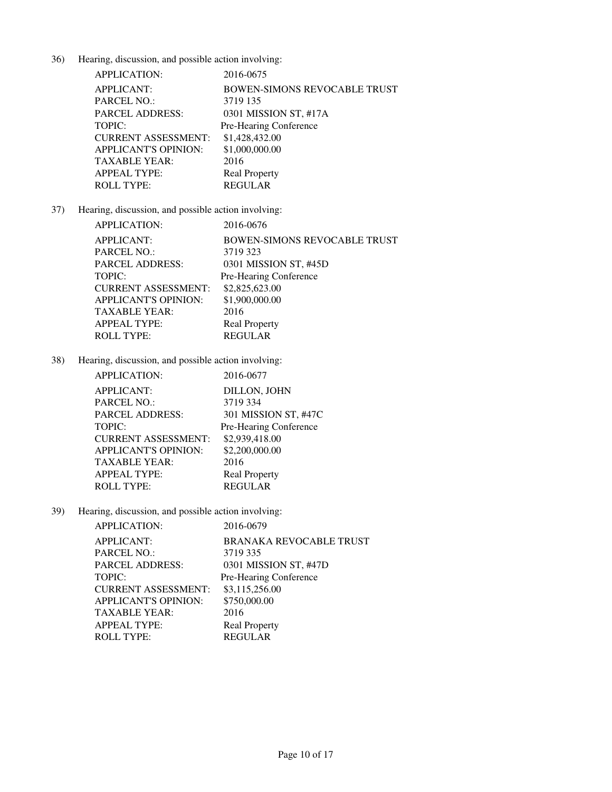| <b>APPLICATION:</b>         | 2016-0675                           |
|-----------------------------|-------------------------------------|
| <b>APPLICANT:</b>           | <b>BOWEN-SIMONS REVOCABLE TRUST</b> |
| PARCEL NO.:                 | 3719 135                            |
| <b>PARCEL ADDRESS:</b>      | 0301 MISSION ST, #17A               |
| <b>TOPIC:</b>               | Pre-Hearing Conference              |
| <b>CURRENT ASSESSMENT:</b>  | \$1,428,432.00                      |
| <b>APPLICANT'S OPINION:</b> | \$1,000,000.00                      |
| TAXABLE YEAR:               | 2016                                |
| <b>APPEAL TYPE:</b>         | <b>Real Property</b>                |
| <b>ROLL TYPE:</b>           | <b>REGULAR</b>                      |

# 37) Hearing, discussion, and possible action involving:

| APPLICATION:         | 2016-0676                           |
|----------------------|-------------------------------------|
| APPLICANT:           | <b>BOWEN-SIMONS REVOCABLE TRUST</b> |
| PARCEL NO.:          | 3719 323                            |
| PARCEL ADDRESS:      | 0301 MISSION ST, #45D               |
| TOPIC:               | Pre-Hearing Conference              |
| CURRENT ASSESSMENT:  | \$2,825,623.00                      |
| APPLICANT'S OPINION: | \$1,900,000.00                      |
| TAXABLE YEAR:        | 2016                                |
| APPEAL TYPE:         | <b>Real Property</b>                |
| ROLL TYPE:           | <b>REGULAR</b>                      |

38) Hearing, discussion, and possible action involving:

| APPLICATION:                | 2016-0677              |
|-----------------------------|------------------------|
| <b>APPLICANT:</b>           | DILLON, JOHN           |
| PARCEL NO.:                 | 3719 334               |
| PARCEL ADDRESS:             | 301 MISSION ST, #47C   |
| TOPIC:                      | Pre-Hearing Conference |
| <b>CURRENT ASSESSMENT:</b>  | \$2,939,418.00         |
| <b>APPLICANT'S OPINION:</b> | \$2,200,000.00         |
| TAXABLE YEAR:               | 2016                   |
| <b>APPEAL TYPE:</b>         | <b>Real Property</b>   |
| <b>ROLL TYPE:</b>           | <b>REGULAR</b>         |

| APPLICATION:                | 2016-0679                      |
|-----------------------------|--------------------------------|
| <b>APPLICANT:</b>           | <b>BRANAKA REVOCABLE TRUST</b> |
| PARCEL NO.:                 | 3719 335                       |
| <b>PARCEL ADDRESS:</b>      | 0301 MISSION ST, #47D          |
| TOPIC:                      | Pre-Hearing Conference         |
| <b>CURRENT ASSESSMENT:</b>  | \$3,115,256.00                 |
| <b>APPLICANT'S OPINION:</b> | \$750,000.00                   |
| <b>TAXABLE YEAR:</b>        | 2016                           |
| <b>APPEAL TYPE:</b>         | <b>Real Property</b>           |
| <b>ROLL TYPE:</b>           | <b>REGULAR</b>                 |
|                             |                                |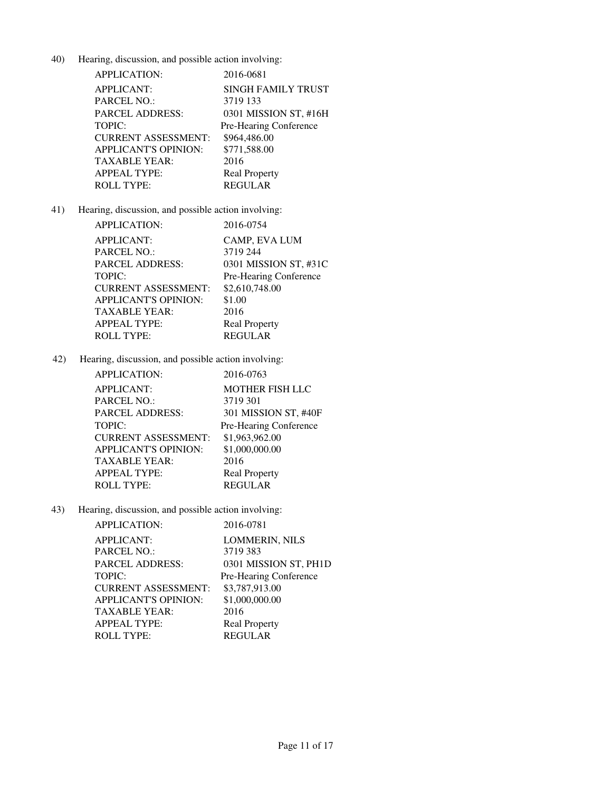| <b>APPLICATION:</b>         | 2016-0681              |
|-----------------------------|------------------------|
| <b>APPLICANT:</b>           | SINGH FAMILY TRUST     |
| <b>PARCEL NO.:</b>          | 3719 133               |
| <b>PARCEL ADDRESS:</b>      | 0301 MISSION ST, #16H  |
| TOPIC:                      | Pre-Hearing Conference |
| <b>CURRENT ASSESSMENT:</b>  | \$964,486.00           |
| <b>APPLICANT'S OPINION:</b> | \$771,588.00           |
| <b>TAXABLE YEAR:</b>        | 2016                   |
| <b>APPEAL TYPE:</b>         | <b>Real Property</b>   |
| <b>ROLL TYPE:</b>           | <b>REGULAR</b>         |

# 41) Hearing, discussion, and possible action involving:

| APPLICATION:               | 2016-0754              |
|----------------------------|------------------------|
| APPLICANT:                 | CAMP, EVA LUM          |
| PARCEL NO.:                | 3719 244               |
| PARCEL ADDRESS:            | 0301 MISSION ST, #31C  |
| TOPIC:                     | Pre-Hearing Conference |
| <b>CURRENT ASSESSMENT:</b> | \$2,610,748.00         |
| APPLICANT'S OPINION:       | \$1.00                 |
| TAXABLE YEAR:              | 2016                   |
| APPEAL TYPE:               | <b>Real Property</b>   |
| <b>ROLL TYPE:</b>          | <b>REGULAR</b>         |

42) Hearing, discussion, and possible action involving:

| APPLICATION:               | 2016-0763              |
|----------------------------|------------------------|
| <b>APPLICANT:</b>          | <b>MOTHER FISH LLC</b> |
| PARCEL NO.:                | 3719 301               |
| PARCEL ADDRESS:            | 301 MISSION ST, #40F   |
| TOPIC:                     | Pre-Hearing Conference |
| <b>CURRENT ASSESSMENT:</b> | \$1,963,962.00         |
| APPLICANT'S OPINION:       | \$1,000,000.00         |
| TAXABLE YEAR:              | 2016                   |
| APPEAL TYPE:               | <b>Real Property</b>   |
| ROLL TYPE:                 | <b>REGULAR</b>         |

| <b>APPLICATION:</b>         | 2016-0781              |
|-----------------------------|------------------------|
| <b>APPLICANT:</b>           | <b>LOMMERIN, NILS</b>  |
| <b>PARCEL NO.:</b>          | 3719 383               |
| <b>PARCEL ADDRESS:</b>      | 0301 MISSION ST, PH1D  |
| <b>TOPIC:</b>               | Pre-Hearing Conference |
| <b>CURRENT ASSESSMENT:</b>  | \$3,787,913.00         |
| <b>APPLICANT'S OPINION:</b> | \$1,000,000.00         |
| <b>TAXABLE YEAR:</b>        | 2016                   |
| <b>APPEAL TYPE:</b>         | <b>Real Property</b>   |
| <b>ROLL TYPE:</b>           | <b>REGULAR</b>         |
|                             |                        |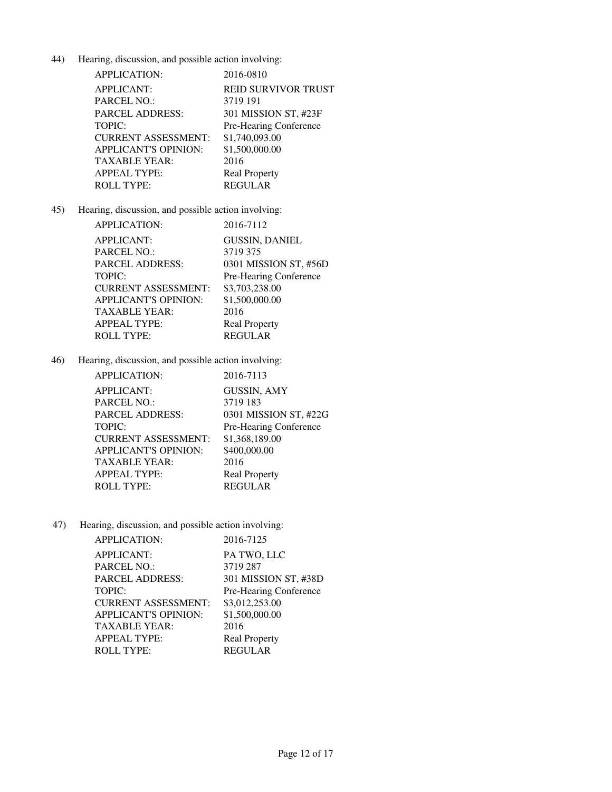| <b>APPLICATION:</b>         | 2016-0810                  |
|-----------------------------|----------------------------|
| <b>APPLICANT:</b>           | <b>REID SURVIVOR TRUST</b> |
| <b>PARCEL NO.:</b>          | 3719 191                   |
| <b>PARCEL ADDRESS:</b>      | 301 MISSION ST, #23F       |
| TOPIC:                      | Pre-Hearing Conference     |
| <b>CURRENT ASSESSMENT:</b>  | \$1,740,093.00             |
| <b>APPLICANT'S OPINION:</b> | \$1,500,000.00             |
| <b>TAXABLE YEAR:</b>        | 2016                       |
| <b>APPEAL TYPE:</b>         | <b>Real Property</b>       |
| <b>ROLL TYPE:</b>           | <b>REGULAR</b>             |

# 45) Hearing, discussion, and possible action involving:

| <b>APPLICATION:</b>        | 2016-7112              |
|----------------------------|------------------------|
| <b>APPLICANT:</b>          | <b>GUSSIN, DANIEL</b>  |
| PARCEL NO.:                | 3719 375               |
| PARCEL ADDRESS:            | 0301 MISSION ST, #56D  |
| TOPIC:                     | Pre-Hearing Conference |
| <b>CURRENT ASSESSMENT:</b> | \$3,703,238.00         |
| APPLICANT'S OPINION:       | \$1,500,000.00         |
| TAXABLE YEAR:              | 2016                   |
| APPEAL TYPE:               | <b>Real Property</b>   |
| <b>ROLL TYPE:</b>          | <b>REGULAR</b>         |

46) Hearing, discussion, and possible action involving:

| <b>APPLICATION:</b>        | 2016-7113              |
|----------------------------|------------------------|
| APPLICANT:                 | <b>GUSSIN, AMY</b>     |
| PARCEL NO.:                | 3719 183               |
| PARCEL ADDRESS:            | 0301 MISSION ST, #22G  |
| TOPIC:                     | Pre-Hearing Conference |
| <b>CURRENT ASSESSMENT:</b> | \$1,368,189.00         |
| APPLICANT'S OPINION:       | \$400,000.00           |
| TAXABLE YEAR:              | 2016                   |
| APPEAL TYPE:               | <b>Real Property</b>   |
| <b>ROLL TYPE:</b>          | <b>REGULAR</b>         |
|                            |                        |

| <b>APPLICATION:</b>         | 2016-7125              |
|-----------------------------|------------------------|
| <b>APPLICANT:</b>           | PA TWO, LLC            |
| <b>PARCEL NO.:</b>          | 3719 287               |
| <b>PARCEL ADDRESS:</b>      | 301 MISSION ST, #38D   |
| <b>TOPIC:</b>               | Pre-Hearing Conference |
| <b>CURRENT ASSESSMENT:</b>  | \$3,012,253.00         |
| <b>APPLICANT'S OPINION:</b> | \$1,500,000.00         |
| <b>TAXABLE YEAR:</b>        | 2016                   |
| <b>APPEAL TYPE:</b>         | <b>Real Property</b>   |
| <b>ROLL TYPE:</b>           | <b>REGULAR</b>         |
|                             |                        |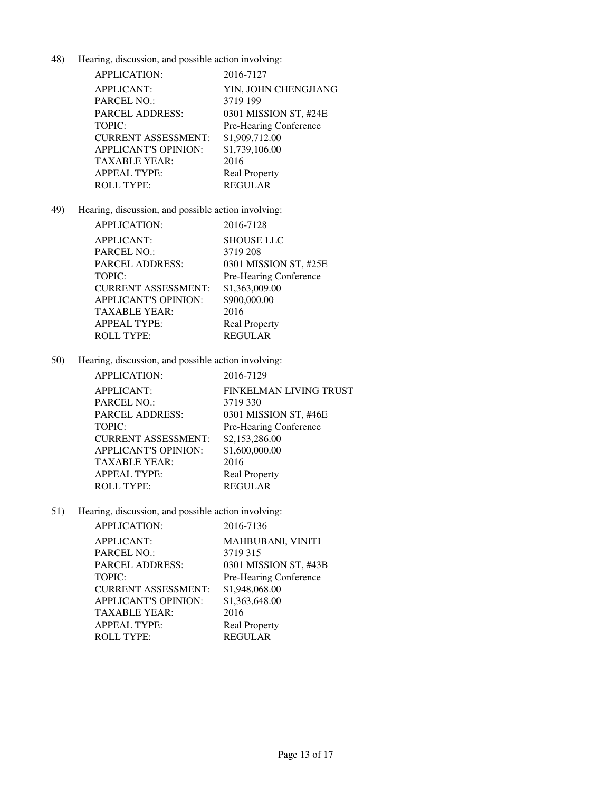| <b>APPLICATION:</b>         | 2016-7127              |
|-----------------------------|------------------------|
| <b>APPLICANT:</b>           | YIN, JOHN CHENGJIANG   |
| <b>PARCEL NO.:</b>          | 3719 199               |
| <b>PARCEL ADDRESS:</b>      | 0301 MISSION ST, #24E  |
| <b>TOPIC:</b>               | Pre-Hearing Conference |
| <b>CURRENT ASSESSMENT:</b>  | \$1,909,712.00         |
| <b>APPLICANT'S OPINION:</b> | \$1,739,106.00         |
| <b>TAXABLE YEAR:</b>        | 2016                   |
| <b>APPEAL TYPE:</b>         | <b>Real Property</b>   |
| <b>ROLL TYPE:</b>           | <b>REGULAR</b>         |

49) Hearing, discussion, and possible action involving:

| <b>APPLICATION:</b>        | 2016-7128              |
|----------------------------|------------------------|
| APPLICANT:                 | <b>SHOUSE LLC</b>      |
| PARCEL NO.:                | 3719 208               |
| PARCEL ADDRESS:            | 0301 MISSION ST, #25E  |
| TOPIC:                     | Pre-Hearing Conference |
| <b>CURRENT ASSESSMENT:</b> | \$1,363,009.00         |
| APPLICANT'S OPINION:       | \$900,000.00           |
| TAXABLE YEAR:              | 2016                   |
| APPEAL TYPE:               | <b>Real Property</b>   |
| <b>ROLL TYPE:</b>          | <b>REGULAR</b>         |

50) Hearing, discussion, and possible action involving:

| <b>APPLICATION:</b>         | 2016-7129              |
|-----------------------------|------------------------|
| <b>APPLICANT:</b>           | FINKELMAN LIVING TRUST |
| <b>PARCEL NO.:</b>          | 3719 330               |
| <b>PARCEL ADDRESS:</b>      | 0301 MISSION ST, #46E  |
| <b>TOPIC:</b>               | Pre-Hearing Conference |
| <b>CURRENT ASSESSMENT:</b>  | \$2,153,286.00         |
| <b>APPLICANT'S OPINION:</b> | \$1,600,000.00         |
| TAXABLE YEAR:               | 2016                   |
| <b>APPEAL TYPE:</b>         | <b>Real Property</b>   |
| <b>ROLL TYPE:</b>           | <b>REGULAR</b>         |

| APPLICATION:                | 2016-7136                |
|-----------------------------|--------------------------|
| <b>APPLICANT:</b>           | <b>MAHBUBANI, VINITI</b> |
| PARCEL NO.:                 | 3719 315                 |
| <b>PARCEL ADDRESS:</b>      | 0301 MISSION ST, #43B    |
| TOPIC:                      | Pre-Hearing Conference   |
| <b>CURRENT ASSESSMENT:</b>  | \$1,948,068.00           |
| <b>APPLICANT'S OPINION:</b> | \$1,363,648.00           |
| TAXABLE YEAR:               | 2016                     |
| <b>APPEAL TYPE:</b>         | <b>Real Property</b>     |
| <b>ROLL TYPE:</b>           | <b>REGULAR</b>           |
|                             |                          |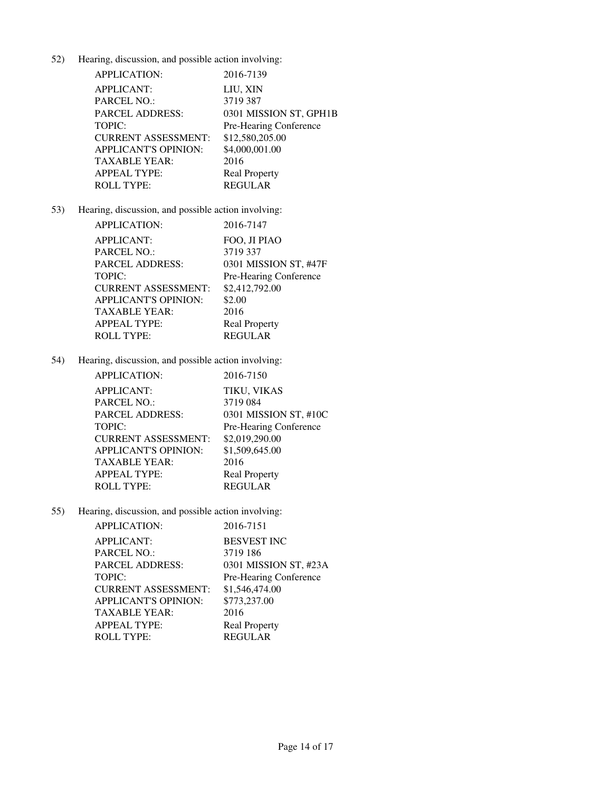| <b>APPLICATION:</b>         | 2016-7139              |
|-----------------------------|------------------------|
| <b>APPLICANT:</b>           | LIU, XIN               |
| <b>PARCEL NO.:</b>          | 3719 387               |
| <b>PARCEL ADDRESS:</b>      | 0301 MISSION ST, GPH1B |
| TOPIC:                      | Pre-Hearing Conference |
| <b>CURRENT ASSESSMENT:</b>  | \$12,580,205.00        |
| <b>APPLICANT'S OPINION:</b> | \$4,000,001.00         |
| <b>TAXABLE YEAR:</b>        | 2016                   |
| <b>APPEAL TYPE:</b>         | <b>Real Property</b>   |
| <b>ROLL TYPE:</b>           | <b>REGULAR</b>         |

# 53) Hearing, discussion, and possible action involving:

| APPLICATION:               | 2016-7147              |
|----------------------------|------------------------|
| <b>APPLICANT:</b>          | FOO, JI PIAO           |
| PARCEL NO.:                | 3719 337               |
| PARCEL ADDRESS:            | 0301 MISSION ST, #47F  |
| TOPIC:                     | Pre-Hearing Conference |
| <b>CURRENT ASSESSMENT:</b> | \$2,412,792.00         |
| APPLICANT'S OPINION:       | \$2.00                 |
| TAXABLE YEAR:              | 2016                   |
| APPEAL TYPE:               | <b>Real Property</b>   |
| <b>ROLL TYPE:</b>          | <b>REGULAR</b>         |

54) Hearing, discussion, and possible action involving:

| <b>APPLICATION:</b>         | 2016-7150              |
|-----------------------------|------------------------|
| <b>APPLICANT:</b>           | TIKU, VIKAS            |
| <b>PARCEL NO.:</b>          | 3719084                |
| <b>PARCEL ADDRESS:</b>      | 0301 MISSION ST, #10C  |
| <b>TOPIC:</b>               | Pre-Hearing Conference |
| <b>CURRENT ASSESSMENT:</b>  | \$2,019,290.00         |
| <b>APPLICANT'S OPINION:</b> | \$1,509,645.00         |
| TAXABLE YEAR:               | 2016                   |
| <b>APPEAL TYPE:</b>         | <b>Real Property</b>   |
| <b>ROLL TYPE:</b>           | <b>REGULAR</b>         |

| APPLICATION:                | 2016-7151              |
|-----------------------------|------------------------|
| <b>APPLICANT:</b>           | <b>BESVEST INC</b>     |
| PARCEL NO.:                 | 3719 186               |
| <b>PARCEL ADDRESS:</b>      | 0301 MISSION ST, #23A  |
| TOPIC:                      | Pre-Hearing Conference |
| <b>CURRENT ASSESSMENT:</b>  | \$1,546,474.00         |
| <b>APPLICANT'S OPINION:</b> | \$773,237.00           |
| TAXABLE YEAR:               | 2016                   |
| <b>APPEAL TYPE:</b>         | <b>Real Property</b>   |
| <b>ROLL TYPE:</b>           | <b>REGULAR</b>         |
|                             |                        |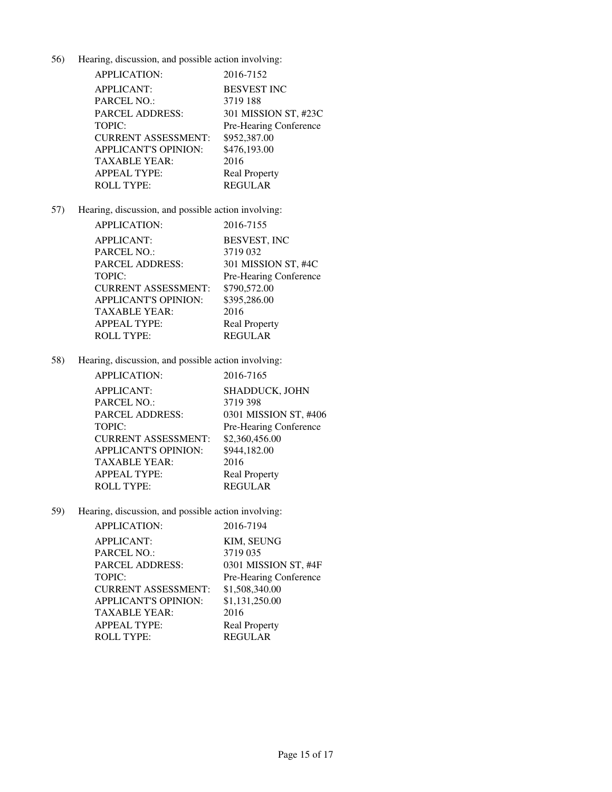| <b>APPLICATION:</b>         | 2016-7152              |
|-----------------------------|------------------------|
| <b>APPLICANT:</b>           | <b>BESVEST INC</b>     |
| <b>PARCEL NO.:</b>          | 3719 188               |
| <b>PARCEL ADDRESS:</b>      | 301 MISSION ST, #23C   |
| TOPIC:                      | Pre-Hearing Conference |
| <b>CURRENT ASSESSMENT:</b>  | \$952,387.00           |
| <b>APPLICANT'S OPINION:</b> | \$476,193.00           |
| <b>TAXABLE YEAR:</b>        | 2016                   |
| <b>APPEAL TYPE:</b>         | <b>Real Property</b>   |
| <b>ROLL TYPE:</b>           | <b>REGULAR</b>         |

# 57) Hearing, discussion, and possible action involving:

| <b>APPLICATION:</b>        | 2016-7155              |
|----------------------------|------------------------|
| <b>APPLICANT:</b>          | BESVEST, INC           |
| PARCEL NO.:                | 3719 032               |
| PARCEL ADDRESS:            | 301 MISSION ST, #4C    |
| TOPIC:                     | Pre-Hearing Conference |
| <b>CURRENT ASSESSMENT:</b> | \$790,572.00           |
| APPLICANT'S OPINION:       | \$395,286.00           |
| TAXABLE YEAR:              | 2016                   |
| APPEAL TYPE:               | <b>Real Property</b>   |
| <b>ROLL TYPE:</b>          | <b>REGULAR</b>         |

58) Hearing, discussion, and possible action involving:

| <b>APPLICATION:</b>        | 2016-7165              |
|----------------------------|------------------------|
| <b>APPLICANT:</b>          | SHADDUCK, JOHN         |
| <b>PARCEL NO.:</b>         | 3719 398               |
| PARCEL ADDRESS:            | 0301 MISSION ST, #406  |
| TOPIC:                     | Pre-Hearing Conference |
| <b>CURRENT ASSESSMENT:</b> | \$2,360,456.00         |
| APPLICANT'S OPINION:       | \$944,182.00           |
| TAXABLE YEAR:              | 2016                   |
| APPEAL TYPE:               | <b>Real Property</b>   |
| <b>ROLL TYPE:</b>          | <b>REGULAR</b>         |
|                            |                        |

| APPLICATION:                | 2016-7194              |
|-----------------------------|------------------------|
| <b>APPLICANT:</b>           | <b>KIM. SEUNG</b>      |
| <b>PARCEL NO.:</b>          | 3719 035               |
| <b>PARCEL ADDRESS:</b>      | 0301 MISSION ST, #4F   |
| <b>TOPIC:</b>               | Pre-Hearing Conference |
| <b>CURRENT ASSESSMENT:</b>  | \$1,508,340.00         |
| <b>APPLICANT'S OPINION:</b> | \$1,131,250.00         |
| TAXABLE YEAR:               | 2016                   |
| <b>APPEAL TYPE:</b>         | <b>Real Property</b>   |
| <b>ROLL TYPE:</b>           | <b>REGULAR</b>         |
|                             |                        |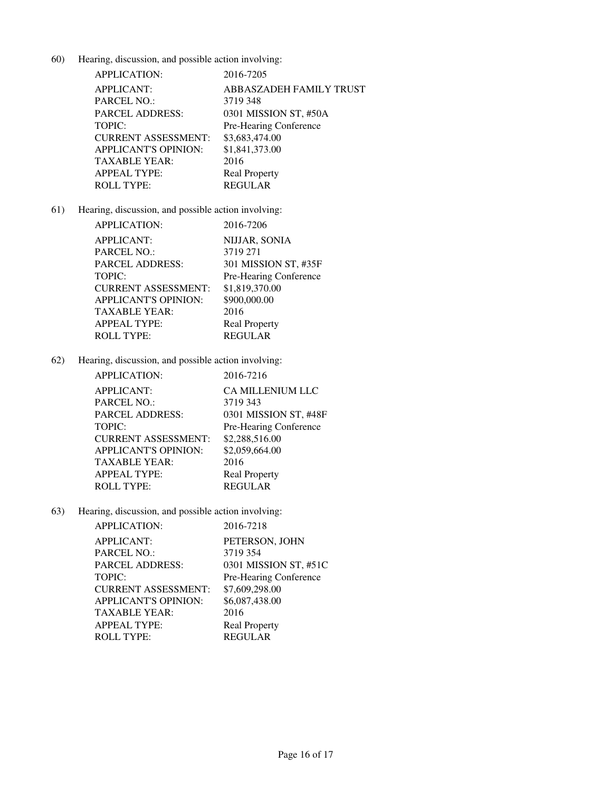| APPLICATION:               | 2016-7205               |
|----------------------------|-------------------------|
| <b>APPLICANT:</b>          | ABBASZADEH FAMILY TRUST |
| <b>PARCEL NO.:</b>         | 3719 348                |
| <b>PARCEL ADDRESS:</b>     | 0301 MISSION ST, #50A   |
| <b>TOPIC:</b>              | Pre-Hearing Conference  |
| <b>CURRENT ASSESSMENT:</b> | \$3,683,474.00          |
| APPLICANT'S OPINION:       | \$1,841,373.00          |
| <b>TAXABLE YEAR:</b>       | 2016                    |
| <b>APPEAL TYPE:</b>        | <b>Real Property</b>    |
| <b>ROLL TYPE:</b>          | <b>REGULAR</b>          |

# 61) Hearing, discussion, and possible action involving:

| <b>APPLICATION:</b>        | 2016-7206              |
|----------------------------|------------------------|
| <b>APPLICANT:</b>          | NIJJAR, SONIA          |
| PARCEL NO.:                | 3719 271               |
| PARCEL ADDRESS:            | 301 MISSION ST, #35F   |
| TOPIC:                     | Pre-Hearing Conference |
| <b>CURRENT ASSESSMENT:</b> | \$1,819,370.00         |
| APPLICANT'S OPINION:       | \$900,000.00           |
| TAXABLE YEAR:              | 2016                   |
| APPEAL TYPE:               | <b>Real Property</b>   |
| <b>ROLL TYPE:</b>          | <b>REGULAR</b>         |

62) Hearing, discussion, and possible action involving:

| <b>APPLICATION:</b>         | 2016-7216               |
|-----------------------------|-------------------------|
| <b>APPLICANT:</b>           | <b>CA MILLENIUM LLC</b> |
| <b>PARCEL NO.:</b>          | 3719 343                |
| PARCEL ADDRESS:             | 0301 MISSION ST, #48F   |
| TOPIC:                      | Pre-Hearing Conference  |
| <b>CURRENT ASSESSMENT:</b>  | \$2,288,516.00          |
| <b>APPLICANT'S OPINION:</b> | \$2,059,664.00          |
| TAXABLE YEAR:               | 2016                    |
| APPEAL TYPE:                | <b>Real Property</b>    |
| ROLL TYPE:                  | <b>REGULAR</b>          |
|                             |                         |

| APPLICATION:                | 2016-7218              |
|-----------------------------|------------------------|
| <b>APPLICANT:</b>           | PETERSON, JOHN         |
| PARCEL NO.:                 | 3719 354               |
| <b>PARCEL ADDRESS:</b>      | 0301 MISSION ST, #51C  |
| TOPIC:                      | Pre-Hearing Conference |
| <b>CURRENT ASSESSMENT:</b>  | \$7,609,298.00         |
| <b>APPLICANT'S OPINION:</b> | \$6,087,438.00         |
| TAXABLE YEAR:               | 2016                   |
| <b>APPEAL TYPE:</b>         | <b>Real Property</b>   |
| <b>ROLL TYPE:</b>           | <b>REGULAR</b>         |
|                             |                        |